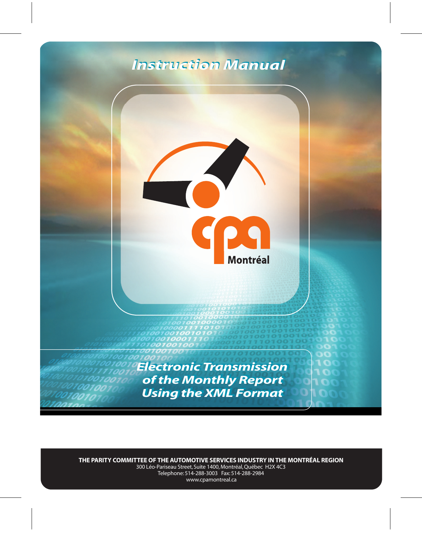# *Instruction Manual Instruction Manual*



**THE PARITY COMMITTEE OF THE AUTOMOTIVE SERVICES INDUSTRY IN THE MONTRÉAL REGION** 300 Léo-Pariseau Street, Suite 1400, Montréal, Québec H2X 4C3 Telephone: 514-288-3003 Fax: 514-288-2984 www.cpamontreal.ca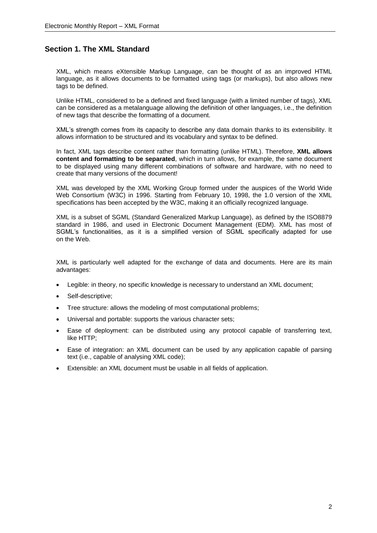# **Section 1. The XML Standard**

XML, which means eXtensible Markup Language, can be thought of as an improved HTML language, as it allows documents to be formatted using tags (or markups), but also allows new tags to be defined.

Unlike HTML, considered to be a defined and fixed language (with a limited number of tags), XML can be considered as a metalanguage allowing the definition of other languages, i.e., the definition of new tags that describe the formatting of a document.

XML's strength comes from its capacity to describe any data domain thanks to its extensibility. It allows information to be structured and its vocabulary and syntax to be defined.

In fact, XML tags describe content rather than formatting (unlike HTML). Therefore, **XML allows content and formatting to be separated**, which in turn allows, for example, the same document to be displayed using many different combinations of software and hardware, with no need to create that many versions of the document!

XML was developed by the XML Working Group formed under the auspices of the World Wide Web Consortium (W3C) in 1996. Starting from February 10, 1998, the 1.0 version of the XML specifications has been accepted by the W3C, making it an officially recognized language.

XML is a subset of SGML (Standard Generalized Markup Language), as defined by the ISO8879 standard in 1986, and used in Electronic Document Management (EDM). XML has most of SGML's functionalities, as it is a simplified version of SGML specifically adapted for use on the Web.

XML is particularly well adapted for the exchange of data and documents. Here are its main advantages:

- Legible: in theory, no specific knowledge is necessary to understand an XML document;
- Self-descriptive;
- Tree structure: allows the modeling of most computational problems;
- Universal and portable: supports the various character sets;
- Ease of deployment: can be distributed using any protocol capable of transferring text, like HTTP;
- Ease of integration: an XML document can be used by any application capable of parsing text (i.e., capable of analysing XML code);
- Extensible: an XML document must be usable in all fields of application.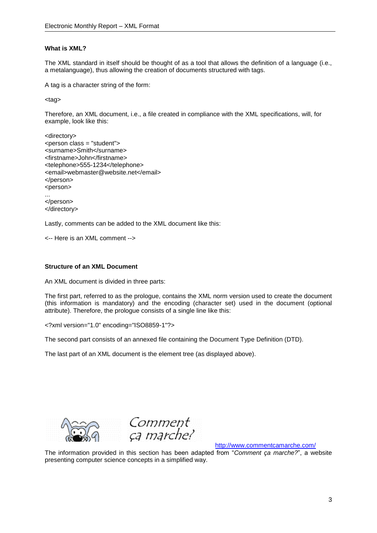#### **What is XML?**

The XML standard in itself should be thought of as a tool that allows the definition of a language (i.e., a metalanguage), thus allowing the creation of documents structured with tags.

A tag is a character string of the form:

<tag>

Therefore, an XML document, i.e., a file created in compliance with the XML specifications, will, for example, look like this:

```
<directory>
<person class = "student">
<surname>Smith</surname>
<firstname>John</firstname>
<telephone>555-1234</telephone>
<email>webmaster@website.net</email>
</person>
<person>
...
</person>
</directory>
```
Lastly, comments can be added to the XML document like this:

<-- Here is an XML comment -->

#### **Structure of an XML Document**

An XML document is divided in three parts:

The first part, referred to as the prologue, contains the XML norm version used to create the document (this information is mandatory) and the encoding (character set) used in the document (optional attribute). Therefore, the prologue consists of a single line like this:

<?xml version="1.0" encoding="ISO8859-1"?>

The second part consists of an annexed file containing the Document Type Definition (DTD).

The last part of an XML document is the element tree (as displayed above).





<http://www.commentcamarche.com/>

The information provided in this section has been adapted from "*Comment ça marche?*", a website presenting computer science concepts in a simplified way.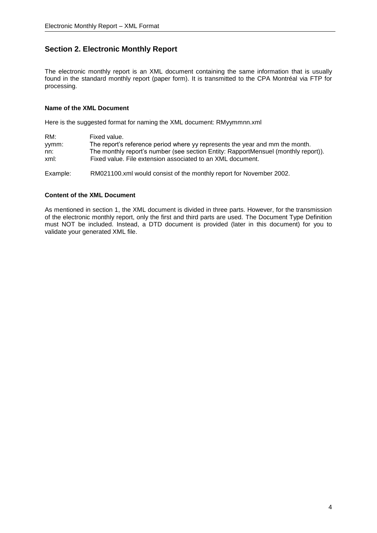# **Section 2. Electronic Monthly Report**

The electronic monthly report is an XML document containing the same information that is usually found in the standard monthly report (paper form). It is transmitted to the CPA Montréal via FTP for processing.

## **Name of the XML Document**

Here is the suggested format for naming the XML document: RMyymmnn.xml

| RM:      | Fixed value.                                                                       |
|----------|------------------------------------------------------------------------------------|
| yymm:    | The report's reference period where yy represents the year and mm the month.       |
| nn:      | The monthly report's number (see section Entity: RapportMensuel (monthly report)). |
| xml:     | Fixed value. File extension associated to an XML document.                         |
| Example: | RM021100.xml would consist of the monthly report for November 2002.                |

#### **Content of the XML Document**

As mentioned in section 1, the XML document is divided in three parts. However, for the transmission of the electronic monthly report, only the first and third parts are used. The Document Type Definition must NOT be included. Instead, a DTD document is provided (later in this document) for you to validate your generated XML file.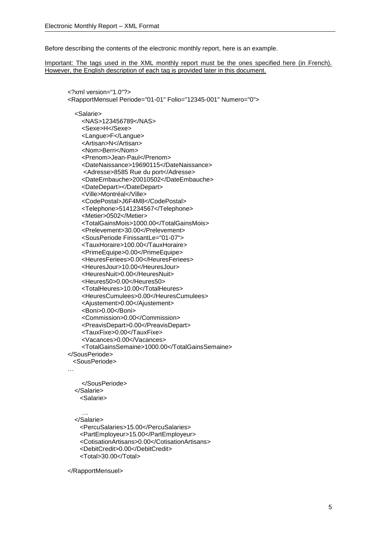Before describing the contents of the electronic monthly report, here is an example.

Important: The tags used in the XML monthly report must be the ones specified here (in French). However, the English description of each tag is provided later in this document.

```
<?xml version="1.0"?>
<RapportMensuel Periode="01-01" Folio="12345-001" Numero="0">
   <Salarie>
     <NAS>123456789</NAS>
     <Sexe>H</Sexe>
     <Langue>F</Langue>
     <Artisan>N</Artisan>
     <Nom>Berri</Nom>
     <Prenom>Jean-Paul</Prenom>
     <DateNaissance>19690115</DateNaissance>
     <Adresse>8585 Rue du port</Adresse>
     <DateEmbauche>20010502</DateEmbauche>
     <DateDepart></DateDepart>
     <Ville>Montréal</Ville>
     <CodePostal>J6F4M8</CodePostal>
     <Telephone>5141234567</Telephone>
     <Metier>0502</Metier>
     <TotalGainsMois>1000.00</TotalGainsMois>
     <Prelevement>30.00</Prelevement>
     <SousPeriode FinissantLe="01-07">
     <TauxHoraire>100.00</TauxHoraire>
     <PrimeEquipe>0.00</PrimeEquipe>
     <HeuresFeriees>0.00</HeuresFeriees>
     <HeuresJour>10.00</HeuresJour>
     <HeuresNuit>0.00</HeuresNuit>
     <Heures50>0.00</Heures50>
     <TotalHeures>10.00</TotalHeures>
     <HeuresCumulees>0.00</HeuresCumulees>
     <Ajustement>0.00</Ajustement>
     <Boni>0.00</Boni>
     <Commission>0.00</Commission>
     <PreavisDepart>0.00</PreavisDepart>
     <TauxFixe>0.00</TauxFixe>
     <Vacances>0.00</Vacances>
     <TotalGainsSemaine>1000.00</TotalGainsSemaine>
</SousPeriode>
  <SousPeriode>
 …
     </SousPeriode>
```
#### </Salarie>

<Salarie>

… </Salarie>

 <PercuSalaries>15.00</PercuSalaries> <PartEmployeur>15.00</PartEmployeur> <CotisationArtisans>0.00</CotisationArtisans> <DebitCredit>0.00</DebitCredit> <Total>30.00</Total>

</RapportMensuel>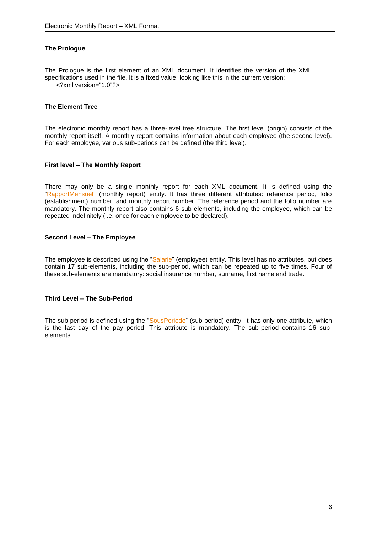#### **The Prologue**

The Prologue is the first element of an XML document. It identifies the version of the XML specifications used in the file. It is a fixed value, looking like this in the current version: <?xml version="1.0"?>

#### **The Element Tree**

The electronic monthly report has a three-level tree structure. The first level (origin) consists of the monthly report itself. A monthly report contains information about each employee (the second level). For each employee, various sub-periods can be defined (the third level).

#### **First level – The Monthly Report**

There may only be a single monthly report for each XML document. It is defined using the "RapportMensuel" (monthly report) entity. It has three different attributes: reference period, folio (establishment) number, and monthly report number. The reference period and the folio number are mandatory. The monthly report also contains 6 sub-elements, including the employee, which can be repeated indefinitely (i.e. once for each employee to be declared).

#### **Second Level – The Employee**

The employee is described using the "Salarie" (employee) entity. This level has no attributes, but does contain 17 sub-elements, including the sub-period, which can be repeated up to five times. Four of these sub-elements are mandatory: social insurance number, surname, first name and trade.

#### **Third Level – The Sub-Period**

The sub-period is defined using the "SousPeriode" (sub-period) entity. It has only one attribute, which is the last day of the pay period. This attribute is mandatory. The sub-period contains 16 subelements.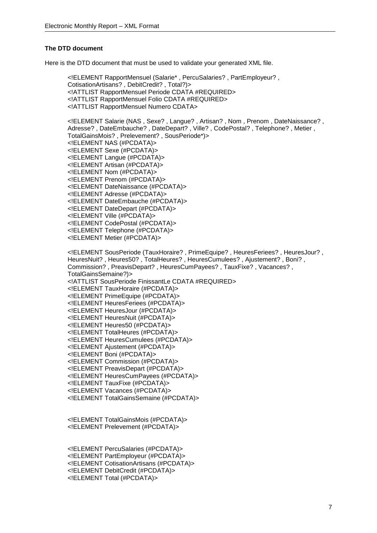#### **The DTD document**

Here is the DTD document that must be used to validate your generated XML file.

<!ELEMENT RapportMensuel (Salarie\* , PercuSalaries? , PartEmployeur? , CotisationArtisans? , DebitCredit? , Total?)> <!ATTLIST RapportMensuel Periode CDATA #REQUIRED> <!ATTLIST RapportMensuel Folio CDATA #REQUIRED> <!ATTLIST RapportMensuel Numero CDATA> <!ELEMENT Salarie (NAS , Sexe? , Langue? , Artisan? , Nom , Prenom , DateNaissance? , Adresse? , DateEmbauche? , DateDepart? , Ville? , CodePostal? , Telephone? , Metier , TotalGainsMois? , Prelevement? , SousPeriode\*)> <!ELEMENT NAS (#PCDATA)> <!ELEMENT Sexe (#PCDATA)> <!ELEMENT Langue (#PCDATA)> <!ELEMENT Artisan (#PCDATA)> <!ELEMENT Nom (#PCDATA)> <!ELEMENT Prenom (#PCDATA)> <!ELEMENT DateNaissance (#PCDATA)> <!ELEMENT Adresse (#PCDATA)> <!ELEMENT DateEmbauche (#PCDATA)> <!ELEMENT DateDepart (#PCDATA)> <!ELEMENT Ville (#PCDATA)> <!ELEMENT CodePostal (#PCDATA)> <!ELEMENT Telephone (#PCDATA)> <!ELEMENT Metier (#PCDATA)> <!ELEMENT SousPeriode (TauxHoraire? , PrimeEquipe? , HeuresFeriees? , HeuresJour? , HeuresNuit? , Heures50? , TotalHeures? , HeuresCumulees? , Ajustement? , Boni? , Commission? , PreavisDepart? , HeuresCumPayees? , TauxFixe? , Vacances? , TotalGainsSemaine?)> <!ATTLIST SousPeriode FinissantLe CDATA #REQUIRED> <!ELEMENT TauxHoraire (#PCDATA)> <!ELEMENT PrimeEquipe (#PCDATA)> <!ELEMENT HeuresFeriees (#PCDATA)> <!ELEMENT HeuresJour (#PCDATA)> <!ELEMENT HeuresNuit (#PCDATA)> <!ELEMENT Heures50 (#PCDATA)> <!ELEMENT TotalHeures (#PCDATA)> <!ELEMENT HeuresCumulees (#PCDATA)> <!ELEMENT Ajustement (#PCDATA)> <!ELEMENT Boni (#PCDATA)> <!ELEMENT Commission (#PCDATA)> <!ELEMENT PreavisDepart (#PCDATA)> <!ELEMENT HeuresCumPayees (#PCDATA)> <!ELEMENT TauxFixe (#PCDATA)> <!ELEMENT Vacances (#PCDATA)> <!ELEMENT TotalGainsSemaine (#PCDATA)>

<!ELEMENT TotalGainsMois (#PCDATA)> <!ELEMENT Prelevement (#PCDATA)>

<!ELEMENT PercuSalaries (#PCDATA)> <!ELEMENT PartEmployeur (#PCDATA)> <!ELEMENT CotisationArtisans (#PCDATA)> <!ELEMENT DebitCredit (#PCDATA)> <!ELEMENT Total (#PCDATA)>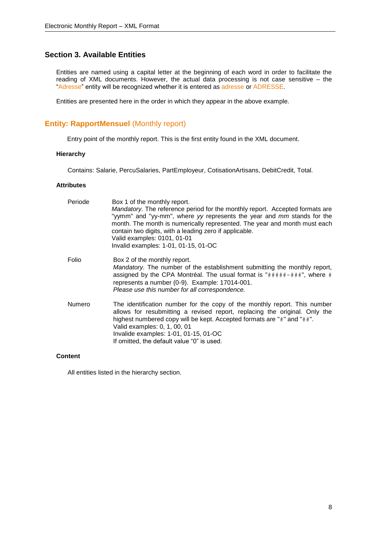# **Section 3. Available Entities**

Entities are named using a capital letter at the beginning of each word in order to facilitate the reading of XML documents. However, the actual data processing is not case sensitive – the "Adresse" entity will be recognized whether it is entered as adresse or ADRESSE.

Entities are presented here in the order in which they appear in the above example.

# **Entity: RapportMensuel (Monthly report)**

Entry point of the monthly report. This is the first entity found in the XML document.

#### **Hierarchy**

Contains: Salarie, PercuSalaries, PartEmployeur, CotisationArtisans, DebitCredit, Total.

#### **Attributes**

| Periode | Box 1 of the monthly report.<br><i>Mandatory.</i> The reference period for the monthly report. Accepted formats are<br>"yymm" and "yy-mm", where yy represents the year and mm stands for the<br>month. The month is numerically represented. The year and month must each<br>contain two digits, with a leading zero if applicable.<br>Valid examples: 0101, 01-01<br>Invalid examples: 1-01, 01-15, 01-OC |
|---------|-------------------------------------------------------------------------------------------------------------------------------------------------------------------------------------------------------------------------------------------------------------------------------------------------------------------------------------------------------------------------------------------------------------|
| Folio   | Box 2 of the monthly report.<br>Mandatory. The number of the establishment submitting the monthly report,<br>assigned by the CPA Montréal. The usual format is " $\#$ ### $\#$ +##", where #<br>represents a number (0-9). Example: 17014-001.<br>Please use this number for all correspondence.                                                                                                            |
| Numero  | The identification number for the copy of the monthly report. This number<br>allows for resubmitting a revised report, replacing the original. Only the<br>highest numbered copy will be kept. Accepted formats are "#" and "##".<br>Valid examples: 0, 1, 00, 01<br>Invalide examples: 1-01, 01-15, 01-OC<br>If omitted, the default value "0" is used.                                                    |

#### **Content**

All entities listed in the hierarchy section.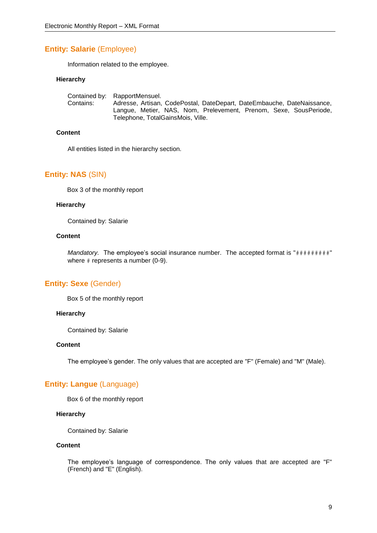# **Entity: Salarie** (Employee)

Information related to the employee.

#### **Hierarchy**

Contained by: RapportMensuel. Contains: Adresse, Artisan, CodePostal, DateDepart, DateEmbauche, DateNaissance, Langue, Metier, NAS, Nom, Prelevement, Prenom, Sexe, SousPeriode, Telephone, TotalGainsMois, Ville.

#### **Content**

All entities listed in the hierarchy section.

#### **Entity: NAS** (SIN)

Box 3 of the monthly report

#### **Hierarchy**

Contained by: Salarie

#### **Content**

*Mandatory.* The employee's social insurance number. The accepted format is "#########" where # represents a number (0-9).

## **Entity: Sexe** (Gender)

Box 5 of the monthly report

#### **Hierarchy**

Contained by: Salarie

#### **Content**

The employee's gender. The only values that are accepted are "F" (Female) and "M" (Male).

## **Entity: Langue** (Language)

Box 6 of the monthly report

#### **Hierarchy**

Contained by: Salarie

#### **Content**

The employee's language of correspondence. The only values that are accepted are "F" (French) and "E" (English).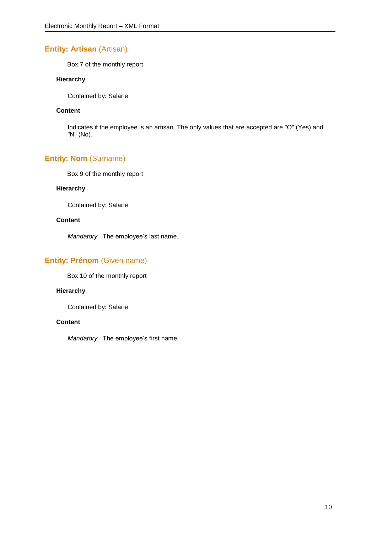# **Entity: Artisan (Artisan)**

Box 7 of the monthly report

## **Hierarchy**

Contained by: Salarie

#### **Content**

Indicates if the employee is an artisan. The only values that are accepted are "O" (Yes) and "N" (No).

# **Entity: Nom** (Surname)

Box 9 of the monthly report

#### **Hierarchy**

Contained by: Salarie

## **Content**

*Mandatory.* The employee's last name.

# **Entity: Prénom** (Given name)

Box 10 of the monthly report

## **Hierarchy**

Contained by: Salarie

#### **Content**

*Mandatory.* The employee's first name.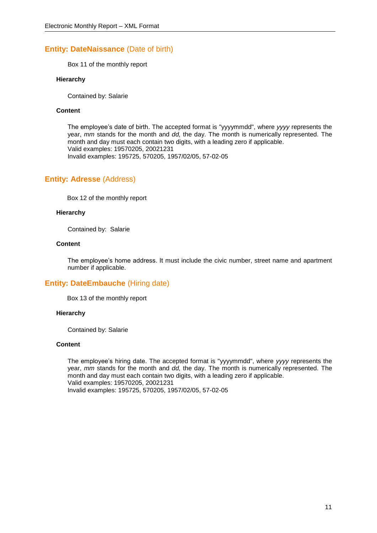# **Entity: DateNaissance** (Date of birth)

Box 11 of the monthly report

#### **Hierarchy**

Contained by: Salarie

#### **Content**

The employee's date of birth. The accepted format is "yyyymmdd", where *yyyy* represents the year, *mm* stands for the month and *dd,* the day. The month is numerically represented. The month and day must each contain two digits, with a leading zero if applicable. Valid examples: 19570205, 20021231 Invalid examples: 195725, 570205, 1957/02/05, 57-02-05

# **Entity: Adresse** (Address)

Box 12 of the monthly report

#### **Hierarchy**

Contained by: Salarie

#### **Content**

The employee's home address. It must include the civic number, street name and apartment number if applicable.

## **Entity: DateEmbauche (Hiring date)**

Box 13 of the monthly report

#### **Hierarchy**

Contained by: Salarie

#### **Content**

The employee's hiring date. The accepted format is "yyyymmdd", where *yyyy* represents the year, *mm* stands for the month and *dd,* the day. The month is numerically represented. The month and day must each contain two digits, with a leading zero if applicable. Valid examples: 19570205, 20021231 Invalid examples: 195725, 570205, 1957/02/05, 57-02-05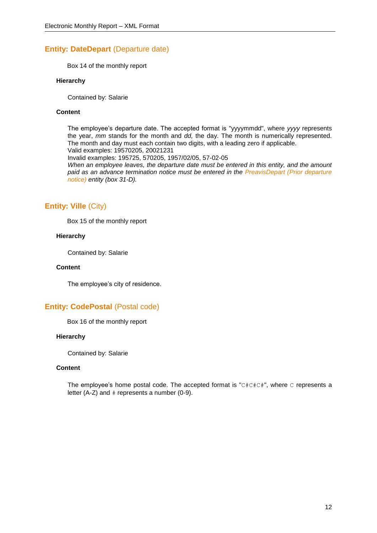## **Entity: DateDepart (Departure date)**

Box 14 of the monthly report

#### **Hierarchy**

Contained by: Salarie

#### **Content**

The employee's departure date. The accepted format is "yyyymmdd", where *yyyy* represents the year, *mm* stands for the month and *dd,* the day. The month is numerically represented. The month and day must each contain two digits, with a leading zero if applicable. Valid examples: 19570205, 20021231

Invalid examples: 195725, 570205, 1957/02/05, 57-02-05

*When an employee leaves, the departure date must be entered in this entity, and the amount paid as an advance termination notice must be entered in the PreavisDepart (Prior departure notice) entity (box 31-D).*

# **Entity: Ville** (City)

Box 15 of the monthly report

#### **Hierarchy**

Contained by: Salarie

#### **Content**

The employee's city of residence.

## **Entity: CodePostal (Postal code)**

Box 16 of the monthly report

#### **Hierarchy**

Contained by: Salarie

#### **Content**

The employee's home postal code. The accepted format is "C#C#C#", where C represents a letter  $(A-Z)$  and  $#$  represents a number  $(0-9)$ .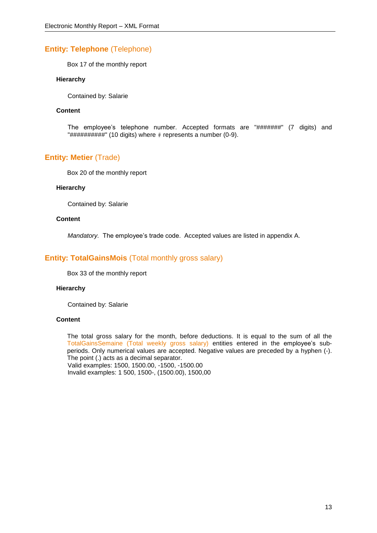# **Entity: Telephone** (Telephone)

Box 17 of the monthly report

#### **Hierarchy**

Contained by: Salarie

#### **Content**

The employee's telephone number. Accepted formats are "#######" (7 digits) and "##########" (10 digits) where # represents a number (0-9).

# **Entity: Metier** (Trade)

Box 20 of the monthly report

#### **Hierarchy**

Contained by: Salarie

#### **Content**

*Mandatory.* The employee's trade code. Accepted values are listed in appendix A.

# **Entity: TotalGainsMois** (Total monthly gross salary)

Box 33 of the monthly report

#### **Hierarchy**

Contained by: Salarie

#### **Content**

The total gross salary for the month, before deductions. It is equal to the sum of all the TotalGainsSemaine (Total weekly gross salary) entities entered in the employee's subperiods. Only numerical values are accepted. Negative values are preceded by a hyphen (-). The point (.) acts as a decimal separator. Valid examples: 1500, 1500.00, -1500, -1500.00 Invalid examples: 1 500, 1500-, (1500.00), 1500,00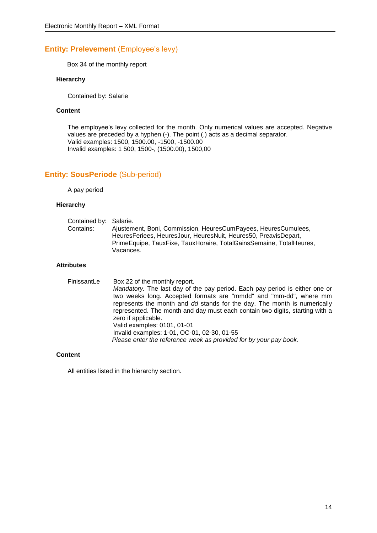# **Entity: Prelevement (Employee's levy)**

Box 34 of the monthly report

#### **Hierarchy**

Contained by: Salarie

#### **Content**

The employee's levy collected for the month. Only numerical values are accepted. Negative values are preceded by a hyphen (-). The point (.) acts as a decimal separator. Valid examples: 1500, 1500.00, -1500, -1500.00 Invalid examples: 1 500, 1500-, (1500.00), 1500,00

# **Entity: SousPeriode** (Sub-period)

A pay period

#### **Hierarchy**

| HeuresFeriees, HeuresJour, HeuresNuit, Heures50, PreavisDepart, | Contained by: Salarie. | Ajustement, Boni, Commission, HeuresCumPayees, HeuresCumulees,      |
|-----------------------------------------------------------------|------------------------|---------------------------------------------------------------------|
| Vacances.                                                       | Contains:              | PrimeEquipe, TauxFixe, TauxHoraire, TotalGainsSemaine, TotalHeures, |

#### **Attributes**

| FinissantLe | Box 22 of the monthly report.<br>Mandatory. The last day of the pay period. Each pay period is either one or<br>two weeks long. Accepted formats are "mmdd" and "mm-dd", where mm<br>represents the month and dd stands for the day. The month is numerically<br>represented. The month and day must each contain two digits, starting with a<br>zero if applicable.<br>Valid examples: 0101, 01-01<br>Invalid examples: 1-01, OC-01, 02-30, 01-55 |
|-------------|----------------------------------------------------------------------------------------------------------------------------------------------------------------------------------------------------------------------------------------------------------------------------------------------------------------------------------------------------------------------------------------------------------------------------------------------------|
|             | Please enter the reference week as provided for by your pay book.                                                                                                                                                                                                                                                                                                                                                                                  |

#### **Content**

All entities listed in the hierarchy section.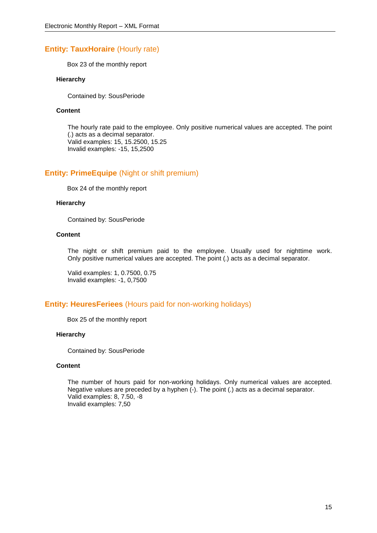## **Entity: TauxHoraire (Hourly rate)**

Box 23 of the monthly report

#### **Hierarchy**

Contained by: SousPeriode

#### **Content**

The hourly rate paid to the employee. Only positive numerical values are accepted. The point (.) acts as a decimal separator. Valid examples: 15, 15.2500, 15.25 Invalid examples: -15, 15,2500

## **Entity: PrimeEquipe** (Night or shift premium)

Box 24 of the monthly report

#### **Hierarchy**

Contained by: SousPeriode

#### **Content**

The night or shift premium paid to the employee. Usually used for nighttime work. Only positive numerical values are accepted. The point (.) acts as a decimal separator.

Valid examples: 1, 0.7500, 0.75 Invalid examples: -1, 0,7500

## **Entity: HeuresFeriees** (Hours paid for non-working holidays)

Box 25 of the monthly report

#### **Hierarchy**

Contained by: SousPeriode

#### **Content**

The number of hours paid for non-working holidays. Only numerical values are accepted. Negative values are preceded by a hyphen (-). The point (.) acts as a decimal separator. Valid examples: 8, 7.50, -8 Invalid examples: 7,50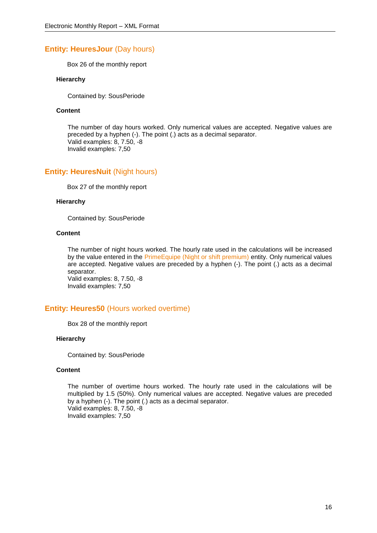# **Entity: HeuresJour (Day hours)**

Box 26 of the monthly report

#### **Hierarchy**

Contained by: SousPeriode

#### **Content**

The number of day hours worked. Only numerical values are accepted. Negative values are preceded by a hyphen (-). The point (.) acts as a decimal separator. Valid examples: 8, 7.50, -8 Invalid examples: 7,50

# **Entity: HeuresNuit (Night hours)**

Box 27 of the monthly report

#### **Hierarchy**

Contained by: SousPeriode

#### **Content**

The number of night hours worked. The hourly rate used in the calculations will be increased by the value entered in the PrimeEquipe (Night or shift premium) entity. Only numerical values are accepted. Negative values are preceded by a hyphen (-). The point (.) acts as a decimal separator.

Valid examples: 8, 7.50, -8 Invalid examples: 7,50

## **Entity: Heures50** (Hours worked overtime)

Box 28 of the monthly report

#### **Hierarchy**

Contained by: SousPeriode

#### **Content**

The number of overtime hours worked. The hourly rate used in the calculations will be multiplied by 1.5 (50%). Only numerical values are accepted. Negative values are preceded by a hyphen (-). The point (.) acts as a decimal separator. Valid examples: 8, 7.50, -8 Invalid examples: 7,50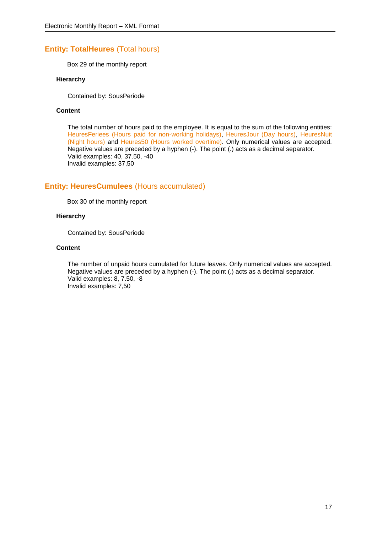# **Entity: TotalHeures** (Total hours)

Box 29 of the monthly report

#### **Hierarchy**

Contained by: SousPeriode

#### **Content**

The total number of hours paid to the employee. It is equal to the sum of the following entities: HeuresFeriees (Hours paid for non-working holidays), HeuresJour (Day hours), HeuresNuit (Night hours) and Heures50 (Hours worked overtime). Only numerical values are accepted. Negative values are preceded by a hyphen (-). The point (.) acts as a decimal separator. Valid examples: 40, 37.50, -40 Invalid examples: 37,50

## **Entity: HeuresCumulees** (Hours accumulated)

Box 30 of the monthly report

#### **Hierarchy**

Contained by: SousPeriode

#### **Content**

The number of unpaid hours cumulated for future leaves. Only numerical values are accepted. Negative values are preceded by a hyphen (-). The point (.) acts as a decimal separator. Valid examples: 8, 7.50, -8 Invalid examples: 7,50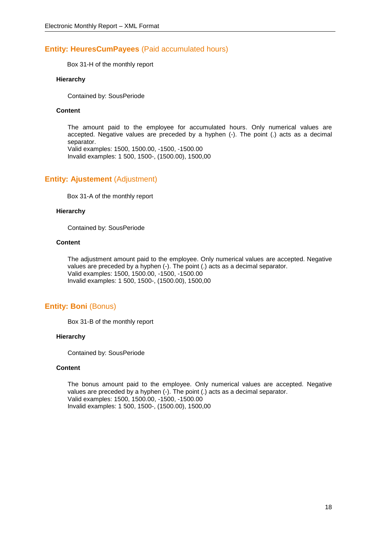## **Entity: HeuresCumPayees** (Paid accumulated hours)

Box 31-H of the monthly report

#### **Hierarchy**

Contained by: SousPeriode

#### **Content**

The amount paid to the employee for accumulated hours. Only numerical values are accepted. Negative values are preceded by a hyphen (-). The point (.) acts as a decimal separator.

Valid examples: 1500, 1500.00, -1500, -1500.00 Invalid examples: 1 500, 1500-, (1500.00), 1500,00

## **Entity: Ajustement (Adjustment)**

Box 31-A of the monthly report

#### **Hierarchy**

Contained by: SousPeriode

#### **Content**

The adjustment amount paid to the employee. Only numerical values are accepted. Negative values are preceded by a hyphen (-). The point (.) acts as a decimal separator. Valid examples: 1500, 1500.00, -1500, -1500.00 Invalid examples: 1 500, 1500-, (1500.00), 1500,00

#### **Entity: Boni (Bonus)**

Box 31-B of the monthly report

#### **Hierarchy**

Contained by: SousPeriode

#### **Content**

The bonus amount paid to the employee. Only numerical values are accepted. Negative values are preceded by a hyphen (-). The point (.) acts as a decimal separator. Valid examples: 1500, 1500.00, -1500, -1500.00 Invalid examples: 1 500, 1500-, (1500.00), 1500,00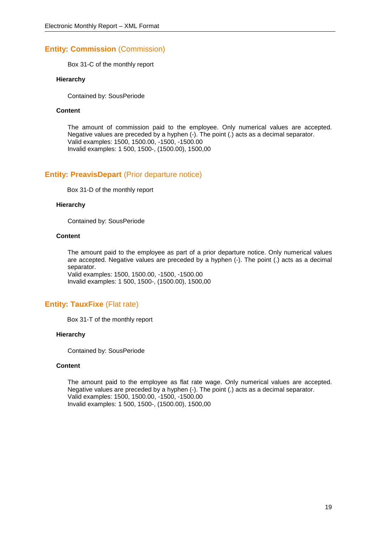# **Entity: Commission** (Commission)

Box 31-C of the monthly report

#### **Hierarchy**

Contained by: SousPeriode

#### **Content**

The amount of commission paid to the employee. Only numerical values are accepted. Negative values are preceded by a hyphen (-). The point (.) acts as a decimal separator. Valid examples: 1500, 1500.00, -1500, -1500.00 Invalid examples: 1 500, 1500-, (1500.00), 1500,00

# **Entity: PreavisDepart** (Prior departure notice)

Box 31-D of the monthly report

#### **Hierarchy**

Contained by: SousPeriode

#### **Content**

The amount paid to the employee as part of a prior departure notice. Only numerical values are accepted. Negative values are preceded by a hyphen (-). The point (.) acts as a decimal separator. Valid examples: 1500, 1500.00, -1500, -1500.00

Invalid examples: 1 500, 1500-, (1500.00), 1500,00

# **Entity: TauxFixe** (Flat rate)

Box 31-T of the monthly report

#### **Hierarchy**

Contained by: SousPeriode

#### **Content**

The amount paid to the employee as flat rate wage. Only numerical values are accepted. Negative values are preceded by a hyphen (-). The point (.) acts as a decimal separator. Valid examples: 1500, 1500.00, -1500, -1500.00 Invalid examples: 1 500, 1500-, (1500.00), 1500,00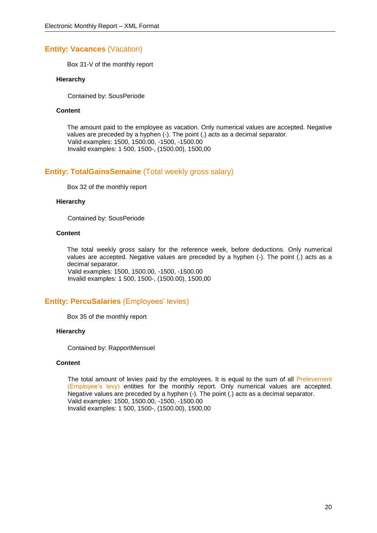# **Entity: Vacances** (Vacation)

Box 31-V of the monthly report

#### **Hierarchy**

Contained by: SousPeriode

#### **Content**

The amount paid to the employee as vacation. Only numerical values are accepted. Negative values are preceded by a hyphen (-). The point (.) acts as a decimal separator. Valid examples: 1500, 1500.00, -1500, -1500.00 Invalid examples: 1 500, 1500-, (1500.00), 1500,00

# **Entity: TotalGainsSemaine** (Total weekly gross salary)

Box 32 of the monthly report

#### **Hierarchy**

Contained by: SousPeriode

#### **Content**

The total weekly gross salary for the reference week, before deductions. Only numerical values are accepted. Negative values are preceded by a hyphen (-). The point (.) acts as a decimal separator. Valid examples: 1500, 1500.00, -1500, -1500.00

Invalid examples: 1 500, 1500-, (1500.00), 1500,00

## **Entity: PercuSalaries** (Employees' levies)

Box 35 of the monthly report

#### **Hierarchy**

Contained by: RapportMensuel

#### **Content**

The total amount of levies paid by the employees. It is equal to the sum of all Prelevement (Employee's levy) entities for the monthly report. Only numerical values are accepted. Negative values are preceded by a hyphen (-). The point (.) acts as a decimal separator. Valid examples: 1500, 1500.00, -1500, -1500.00 Invalid examples: 1 500, 1500-, (1500.00), 1500,00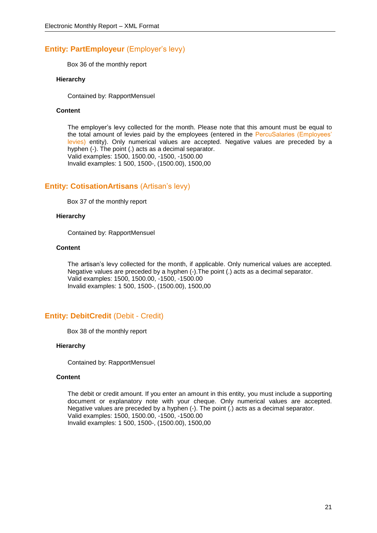# **Entity: PartEmployeur** (Employer's levy)

Box 36 of the monthly report

#### **Hierarchy**

Contained by: RapportMensuel

#### **Content**

The employer's levy collected for the month. Please note that this amount must be equal to the total amount of levies paid by the employees (entered in the PercuSalaries (Employees' levies) entity). Only numerical values are accepted. Negative values are preceded by a hyphen (-). The point (.) acts as a decimal separator. Valid examples: 1500, 1500.00, -1500, -1500.00 Invalid examples: 1 500, 1500-, (1500.00), 1500,00

# **Entity: CotisationArtisans** (Artisan's levy)

Box 37 of the monthly report

#### **Hierarchy**

Contained by: RapportMensuel

#### **Content**

The artisan's levy collected for the month, if applicable. Only numerical values are accepted. Negative values are preceded by a hyphen (-).The point (.) acts as a decimal separator. Valid examples: 1500, 1500.00, -1500, -1500.00 Invalid examples: 1 500, 1500-, (1500.00), 1500,00

# **Entity: DebitCredit** (Debit - Credit)

Box 38 of the monthly report

#### **Hierarchy**

Contained by: RapportMensuel

#### **Content**

The debit or credit amount. If you enter an amount in this entity, you must include a supporting document or explanatory note with your cheque. Only numerical values are accepted. Negative values are preceded by a hyphen (-). The point (.) acts as a decimal separator. Valid examples: 1500, 1500.00, -1500, -1500.00 Invalid examples: 1 500, 1500-, (1500.00), 1500,00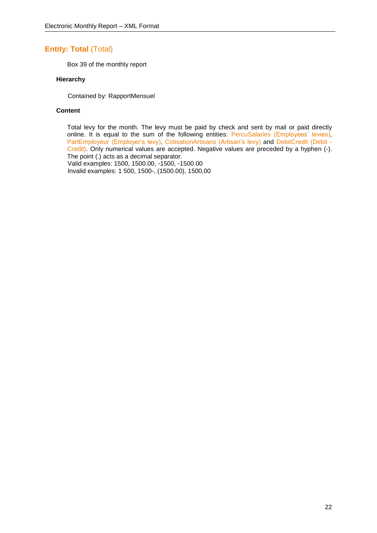# **Entity: Total (Total)**

Box 39 of the monthly report

#### **Hierarchy**

Contained by: RapportMensuel

#### **Content**

Total levy for the month. The levy must be paid by check and sent by mail or paid directly online. It is equal to the sum of the following entities: PercuSalaries (Employees' levies), PartEmployeur (Employer's levy), CotisationArtisans (Artisan's levy) and DebitCredit (Debit -Credit). Only numerical values are accepted. Negative values are preceded by a hyphen (-). The point (.) acts as a decimal separator. Valid examples: 1500, 1500.00, -1500, -1500.00

Invalid examples: 1 500, 1500-, (1500.00), 1500,00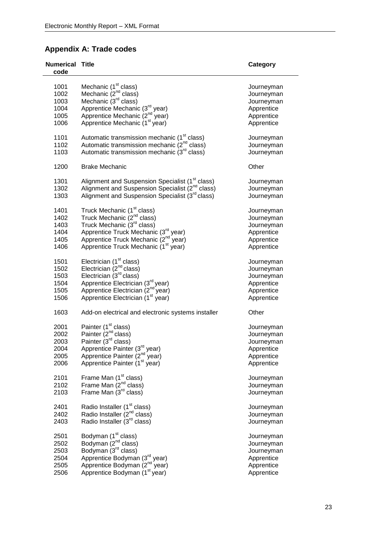# **Appendix A: Trade codes**

| <b>Numerical Title</b><br>code |                                                                                                                                     | Category   |
|--------------------------------|-------------------------------------------------------------------------------------------------------------------------------------|------------|
| 1001                           |                                                                                                                                     |            |
|                                | Mechanic (1 <sup>st</sup> class)<br>Mechanic (2 <sup>nd</sup> class)                                                                | Journeyman |
| 1002                           |                                                                                                                                     | Journeyman |
| 1003                           | Mechanic (3 <sup>rd</sup> class)                                                                                                    | Journeyman |
| 1004                           | Apprentice Mechanic (3rd year)                                                                                                      | Apprentice |
| 1005                           | Apprentice Mechanic (2 <sup>nd</sup> year)                                                                                          | Apprentice |
| 1006                           | Apprentice Mechanic (1 <sup>st</sup> year)                                                                                          | Apprentice |
| 1101                           | Automatic transmission mechanic (1 <sup>st</sup> class)                                                                             | Journeyman |
| 1102                           | Automatic transmission mechanic (2 <sup>nd</sup> class)                                                                             | Journeyman |
| 1103                           | Automatic transmission mechanic (3 <sup>rd</sup> class)                                                                             | Journeyman |
| 1200                           | <b>Brake Mechanic</b>                                                                                                               | Other      |
| 1301                           | Alignment and Suspension Specialist (1 <sup>st</sup> class)                                                                         | Journeyman |
| 1302                           | Alignment and Suspension Specialist (2 <sup>nd</sup> class)                                                                         | Journeyman |
| 1303                           | Alignment and Suspension Specialist (3rd class)                                                                                     | Journeyman |
| 1401                           | Truck Mechanic (1 <sup>st</sup> class)                                                                                              | Journeyman |
| 1402                           | Truck Mechanic (2 <sup>nd</sup> class)                                                                                              | Journeyman |
| 1403                           | Truck Mechanic (3 <sup>rd</sup> class)                                                                                              | Journeyman |
| 1404                           | Apprentice Truck Mechanic (3rd year)                                                                                                | Apprentice |
| 1405                           | Apprentice Truck Mechanic (2 <sup>nd</sup> year)                                                                                    | Apprentice |
|                                |                                                                                                                                     |            |
| 1406                           | Apprentice Truck Mechanic (1 <sup>st</sup> year)                                                                                    | Apprentice |
| 1501                           | Electrician (1 <sup>st</sup> class)<br>Electrician (2 <sup>nd</sup> class)                                                          | Journeyman |
| 1502                           |                                                                                                                                     | Journeyman |
| 1503                           | Electrician $\overline{3}^{\text{rd}}$ class)                                                                                       | Journeyman |
| 1504                           | Apprentice Electrician (3rd year)                                                                                                   | Apprentice |
| 1505                           | Apprentice Electrician (2 <sup>nd</sup> year)                                                                                       | Apprentice |
| 1506                           | Apprentice Electrician (1 <sup>st</sup> year)                                                                                       | Apprentice |
|                                |                                                                                                                                     |            |
| 1603                           | Add-on electrical and electronic systems installer                                                                                  | Other      |
| 2001                           | Painter (1 <sup>st</sup> class)                                                                                                     | Journeyman |
| 2002                           | Painter (2 <sup>nd</sup> class)                                                                                                     | Journeyman |
| 2003                           | Painter (3 <sup>rd</sup> class)                                                                                                     | Journeyman |
| 2004                           |                                                                                                                                     | Apprentice |
| 2005                           | Apprentice Painter (3 <sup>rd</sup> year)<br>Apprentice Painter (2 <sup>nd</sup> year)<br>Apprentice Painter (1 <sup>st</sup> year) |            |
|                                |                                                                                                                                     | Apprentice |
| 2006                           |                                                                                                                                     | Apprentice |
| 2101                           | Frame Man (1 <sup>st</sup> class)                                                                                                   | Journeyman |
| 2102                           | Frame Man (2 <sup>nd</sup> class)                                                                                                   | Journeyman |
| 2103                           | Frame Man $(3rd$ class)                                                                                                             | Journeyman |
| 2401                           | Radio Installer (1 <sup>st</sup> class)                                                                                             | Journeyman |
| 2402                           | Radio Installer (2 <sup>nd</sup> class)                                                                                             | Journeyman |
| 2403                           | Radio Installer (3 <sup>rd</sup> class)                                                                                             | Journeyman |
| 2501                           |                                                                                                                                     | Journeyman |
| 2502                           |                                                                                                                                     | Journeyman |
| 2503                           | Bodyman (1 <sup>st</sup> class)<br>Bodyman (2 <sup>nd</sup> class)<br>Bodyman (3 <sup>rd</sup> class)                               | Journeyman |
| 2504                           | Apprentice Bodyman (3rd year)                                                                                                       | Apprentice |
|                                | Apprentice Bodyman (2 <sup>nd</sup> year)                                                                                           |            |
| 2505                           | Apprentice Bodyman (1 <sup>st</sup> year)                                                                                           | Apprentice |
| 2506                           |                                                                                                                                     | Apprentice |

l,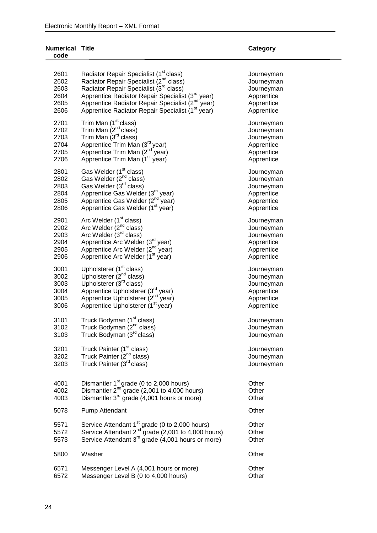#### **Numerical code**

**Category** 

| 2601<br>2602<br>2603<br>2604<br>2605<br>2606 | Radiator Repair Specialist (1 <sup>st</sup> class)<br>Radiator Repair Specialist (2 <sup>nd</sup> class)<br>Radiator Repair Specialist (3 <sup>rd</sup> class)<br>Apprentice Radiator Repair Specialist (3 <sup>rd</sup> year)<br>Apprentice Radiator Repair Specialist (2 <sup>nd</sup><br>' year)<br>Apprentice Radiator Repair Specialist (1 <sup>st</sup> year) | Journeyman<br>Journeyman<br>Journeyman<br>Apprentice<br>Apprentice<br>Apprentice |
|----------------------------------------------|---------------------------------------------------------------------------------------------------------------------------------------------------------------------------------------------------------------------------------------------------------------------------------------------------------------------------------------------------------------------|----------------------------------------------------------------------------------|
| 2701<br>2702<br>2703<br>2704<br>2705<br>2706 | Trim Man (1 <sup>st</sup> class)<br>Trim Man (2 <sup>nd</sup> class)<br>Trim Man (3 <sup>rd</sup> class)<br>Apprentice Trim Man (3 <sup>rd</sup> year)<br>Apprentice Trim Man (2 <sup>nd year)</sup><br>Apprentice Trim Man (1 <sup>st</sup> year)                                                                                                                  | Journeyman<br>Journeyman<br>Journeyman<br>Apprentice<br>Apprentice<br>Apprentice |
| 2801<br>2802<br>2803<br>2804<br>2805<br>2806 | Gas Welder (1 <sup>st</sup> class)<br>Gas Welder (2 <sup>nd</sup> class)<br>Gas Welder (3rd class)<br>Apprentice Gas Welder (3 <sup>rd</sup> year)<br>Apprentice Gas Welder (2 <sup>nd</sup> year)<br>Apprentice Gas Welder (1 <sup>st</sup> year)                                                                                                                  | Journeyman<br>Journeyman<br>Journeyman<br>Apprentice<br>Apprentice<br>Apprentice |
| 2901<br>2902<br>2903<br>2904<br>2905<br>2906 | Arc Welder (1 <sup>st</sup> class)<br>Arc Welder (2 <sup>nd</sup> class)<br>Arc Welder (3rd class)<br>Apprentice Arc Welder (3 <sup>rd</sup> year)<br>Apprentice Arc Welder (2 <sup>nd</sup> year)<br>Apprentice Arc Welder (1 <sup>st</sup> year)                                                                                                                  | Journeyman<br>Journeyman<br>Journeyman<br>Apprentice<br>Apprentice<br>Apprentice |
| 3001<br>3002<br>3003<br>3004<br>3005<br>3006 | Upholsterer (1 <sup>st</sup> class)<br>Upholsterer $(2^{nd}$ class)<br>Upholsterer (3rd class)<br>Apprentice Upholsterer (3 <sup>rd</sup> year)<br>Apprentice Upholsterer (2 <sup>nd</sup> year)<br>Apprentice Upholsterer (1 <sup>st</sup> year)                                                                                                                   | Journeyman<br>Journeyman<br>Journeyman<br>Apprentice<br>Apprentice<br>Apprentice |
| 3101<br>3102<br>3103                         | Truck Bodyman (1 <sup>st</sup> class)<br>Truck Bodyman (2 <sup>nd</sup> class)<br>Truck Bodyman (3 <sup>rd</sup> class)                                                                                                                                                                                                                                             | Journeyman<br>Journeyman<br>Journeyman                                           |
| 3201<br>3202<br>3203                         | Truck Painter (1 <sup>st</sup> class)<br>Truck Painter (2 <sup>nd</sup> class)<br>Truck Painter (3 <sup>rd</sup> class)                                                                                                                                                                                                                                             | Journeyman<br>Journeyman<br>Journeyman                                           |
| 4001<br>4002<br>4003                         | Dismantler 1 <sup>st</sup> grade (0 to 2,000 hours)<br>Dismantler 2 <sup>nd</sup> grade (2,001 to 4,000 hours)<br>Dismantler 3 <sup>rd</sup> grade (4,001 hours or more)                                                                                                                                                                                            | Other<br>Other<br>Other                                                          |
| 5078                                         | Pump Attendant                                                                                                                                                                                                                                                                                                                                                      | Other                                                                            |
| 5571<br>5572<br>5573                         | Service Attendant 1 <sup>st</sup> grade (0 to 2,000 hours)<br>Service Attendant 2 <sup>nd</sup> grade (2,001 to 4,000 hours)<br>Service Attendant 3 <sup>rd</sup> grade (4,001 hours or more)                                                                                                                                                                       | Other<br>Other<br>Other                                                          |
| 5800                                         | Washer                                                                                                                                                                                                                                                                                                                                                              | Other                                                                            |
| 6571<br>6572                                 | Messenger Level A (4,001 hours or more)<br>Messenger Level B (0 to 4,000 hours)                                                                                                                                                                                                                                                                                     | Other<br>Other                                                                   |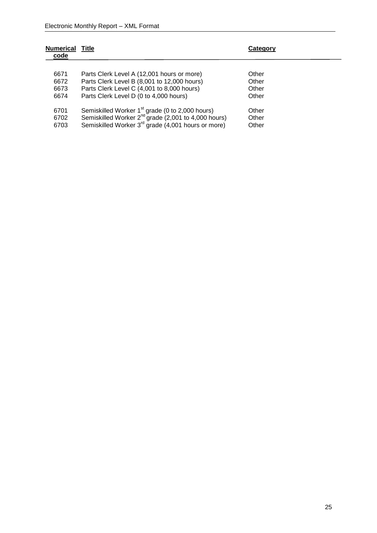| <b>Numerical</b><br>code | Title                                                           | Category |
|--------------------------|-----------------------------------------------------------------|----------|
|                          |                                                                 |          |
| 6671                     | Parts Clerk Level A (12,001 hours or more)                      | Other    |
| 6672                     | Parts Clerk Level B (8,001 to 12,000 hours)                     | Other    |
| 6673                     | Parts Clerk Level C (4,001 to 8,000 hours)                      | Other    |
| 6674                     | Parts Clerk Level D (0 to 4,000 hours)                          | Other    |
| 6701                     | Semiskilled Worker 1 <sup>st</sup> grade (0 to 2,000 hours)     | Other    |
| 6702                     | Semiskilled Worker 2 <sup>nd</sup> grade (2,001 to 4,000 hours) | Other    |
| 6703                     | Semiskilled Worker 3 <sup>rd</sup> grade (4,001 hours or more)  | Other    |